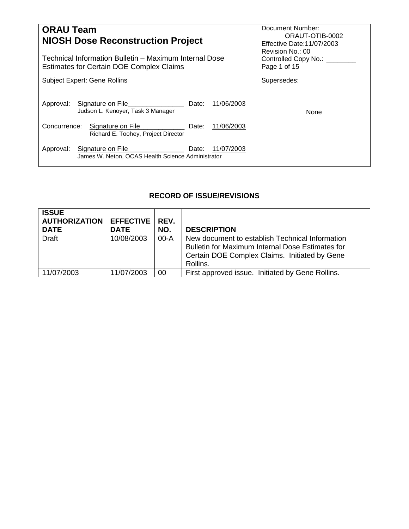| <b>ORAU Team</b><br><b>NIOSH Dose Reconstruction Project</b><br>Technical Information Bulletin – Maximum Internal Dose<br><b>Estimates for Certain DOE Complex Claims</b> | Document Number:<br>ORAUT-OTIB-0002<br>Effective Date: 11/07/2003<br>Revision No.: 00<br>Controlled Copy No.: ____<br>Page 1 of 15 |
|---------------------------------------------------------------------------------------------------------------------------------------------------------------------------|------------------------------------------------------------------------------------------------------------------------------------|
| <b>Subject Expert: Gene Rollins</b>                                                                                                                                       | Supersedes:                                                                                                                        |
| 11/06/2003<br>Signature on File<br>Approval:<br>Date:<br>Judson L. Kenover, Task 3 Manager                                                                                | None                                                                                                                               |
| Concurrence:<br>11/06/2003<br>Signature on File<br>Date:<br>Richard E. Toohey, Project Director                                                                           |                                                                                                                                    |
| Signature on File<br>11/07/2003<br>Approval:<br>Date:<br>James W. Neton, OCAS Health Science Administrator                                                                |                                                                                                                                    |

# **RECORD OF ISSUE/REVISIONS**

| <b>ISSUE</b><br><b>AUTHORIZATION</b><br><b>DATE</b> | <b>EFFECTIVE</b><br><b>DATE</b> | REV.<br>NO. | <b>DESCRIPTION</b>                                                                                                                                               |
|-----------------------------------------------------|---------------------------------|-------------|------------------------------------------------------------------------------------------------------------------------------------------------------------------|
| <b>Draft</b>                                        | 10/08/2003                      | $00 - A$    | New document to establish Technical Information<br>Bulletin for Maximum Internal Dose Estimates for<br>Certain DOE Complex Claims. Initiated by Gene<br>Rollins. |
| 11/07/2003                                          | 11/07/2003                      | 00          | First approved issue. Initiated by Gene Rollins.                                                                                                                 |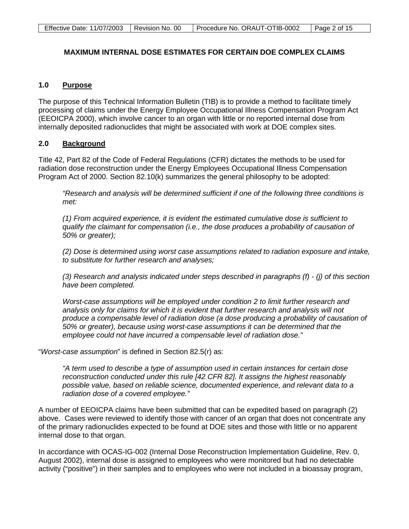# **MAXIMUM INTERNAL DOSE ESTIMATES FOR CERTAIN DOE COMPLEX CLAIMS**

### **1.0 Purpose**

The purpose of this Technical Information Bulletin (TIB) is to provide a method to facilitate timely processing of claims under the Energy Employee Occupational Illness Compensation Program Act (EEOICPA 2000), which involve cancer to an organ with little or no reported internal dose from internally deposited radionuclides that might be associated with work at DOE complex sites.

### **2.0 Background**

Title 42, Part 82 of the Code of Federal Regulations (CFR) dictates the methods to be used for radiation dose reconstruction under the Energy Employees Occupational Illness Compensation Program Act of 2000. Section 82.10(k) summarizes the general philosophy to be adopted:

*"Research and analysis will be determined sufficient if one of the following three conditions is met:*

*(1) From acquired experience, it is evident the estimated cumulative dose is sufficient to qualify the claimant for compensation (i.e., the dose produces a probability of causation of 50% or greater);*

*(2) Dose is determined using worst case assumptions related to radiation exposure and intake, to substitute for further research and analyses;*

*(3) Research and analysis indicated under steps described in paragraphs (f) - (j) of this section have been completed.*

*Worst-case assumptions will be employed under condition 2 to limit further research and analysis only for claims for which it is evident that further research and analysis will not*  produce a compensable level of radiation dose (a dose producing a probability of causation of *50% or greater), because using worst-case assumptions it can be determined that the employee could not have incurred a compensable level of radiation dose."*

"*Worst-case assumption*" is defined in Section 82.5(r) as:

*"A term used to describe a type of assumption used in certain instances for certain dose reconstruction conducted under this rule [42 CFR 82]. It assigns the highest reasonably possible value, based on reliable science, documented experience, and relevant data to a radiation dose of a covered employee."*

A number of EEOICPA claims have been submitted that can be expedited based on paragraph (2) above. Cases were reviewed to identify those with cancer of an organ that does not concentrate any of the primary radionuclides expected to be found at DOE sites and those with little or no apparent internal dose to that organ.

In accordance with OCAS-IG-002 (Internal Dose Reconstruction Implementation Guideline, Rev. 0, August 2002), internal dose is assigned to employees who were monitored but had no detectable activity ("positive") in their samples and to employees who were not included in a bioassay program,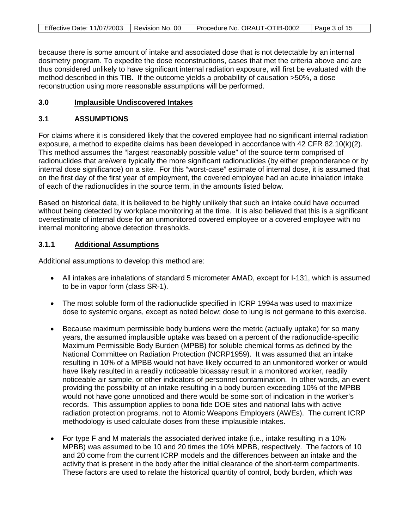| Effective Date: 11/07/2003   Revision No. 00 | Procedure No. ORAUT-OTIB-0002 | Page 3 of 15 |
|----------------------------------------------|-------------------------------|--------------|

because there is some amount of intake and associated dose that is not detectable by an internal dosimetry program. To expedite the dose reconstructions, cases that met the criteria above and are thus considered unlikely to have significant internal radiation exposure, will first be evaluated with the method described in this TIB. If the outcome yields a probability of causation >50%, a dose reconstruction using more reasonable assumptions will be performed.

### **3.0 Implausible Undiscovered Intakes**

# **3.1 ASSUMPTIONS**

For claims where it is considered likely that the covered employee had no significant internal radiation exposure, a method to expedite claims has been developed in accordance with 42 CFR 82.10(k)(2). This method assumes the "largest reasonably possible value" of the source term comprised of radionuclides that are/were typically the more significant radionuclides (by either preponderance or by internal dose significance) on a site. For this "worst-case" estimate of internal dose, it is assumed that on the first day of the first year of employment, the covered employee had an acute inhalation intake of each of the radionuclides in the source term, in the amounts listed below.

Based on historical data, it is believed to be highly unlikely that such an intake could have occurred without being detected by workplace monitoring at the time. It is also believed that this is a significant overestimate of internal dose for an unmonitored covered employee or a covered employee with no internal monitoring above detection thresholds.

### **3.1.1 Additional Assumptions**

Additional assumptions to develop this method are:

- All intakes are inhalations of standard 5 micrometer AMAD, except for I-131, which is assumed to be in vapor form (class SR-1).
- The most soluble form of the radionuclide specified in ICRP 1994a was used to maximize dose to systemic organs, except as noted below; dose to lung is not germane to this exercise.
- Because maximum permissible body burdens were the metric (actually uptake) for so many years, the assumed implausible uptake was based on a percent of the radionuclide-specific Maximum Permissible Body Burden (MPBB) for soluble chemical forms as defined by the National Committee on Radiation Protection (NCRP1959). It was assumed that an intake resulting in 10% of a MPBB would not have likely occurred to an unmonitored worker or would have likely resulted in a readily noticeable bioassay result in a monitored worker, readily noticeable air sample, or other indicators of personnel contamination. In other words, an event providing the possibility of an intake resulting in a body burden exceeding 10% of the MPBB would not have gone unnoticed and there would be some sort of indication in the worker's records. This assumption applies to bona fide DOE sites and national labs with active radiation protection programs, not to Atomic Weapons Employers (AWEs). The current ICRP methodology is used calculate doses from these implausible intakes.
- For type F and M materials the associated derived intake (i.e., intake resulting in a 10% MPBB) was assumed to be 10 and 20 times the 10% MPBB, respectively. The factors of 10 and 20 come from the current ICRP models and the differences between an intake and the activity that is present in the body after the initial clearance of the short-term compartments. These factors are used to relate the historical quantity of control, body burden, which was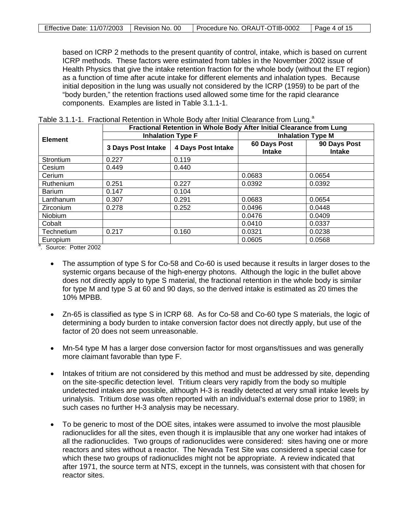| Effective Date: 11/07/2003   Revision No. 00 | Procedure No. ORAUT-OTIB-0002 | $\vert$ Page 4 of 15 |
|----------------------------------------------|-------------------------------|----------------------|

based on ICRP 2 methods to the present quantity of control, intake, which is based on current ICRP methods. These factors were estimated from tables in the November 2002 issue of Health Physics that give the intake retention fraction for the whole body (without the ET region) as a function of time after acute intake for different elements and inhalation types. Because initial deposition in the lung was usually not considered by the ICRP (1959) to be part of the "body burden," the retention fractions used allowed some time for the rapid clearance components. Examples are listed in Table 3.1.1-1.

|                     | Fractional Retention in Whole Body After Initial Clearance from Lung |                           |                               |                               |  |  |  |
|---------------------|----------------------------------------------------------------------|---------------------------|-------------------------------|-------------------------------|--|--|--|
| <b>Element</b>      |                                                                      | <b>Inhalation Type F</b>  |                               | <b>Inhalation Type M</b>      |  |  |  |
|                     | <b>3 Days Post Intake</b>                                            | <b>4 Days Post Intake</b> | 60 Days Post<br><b>Intake</b> | 90 Days Post<br><b>Intake</b> |  |  |  |
| Strontium           | 0.227                                                                | 0.119                     |                               |                               |  |  |  |
| Cesium              | 0.449                                                                | 0.440                     |                               |                               |  |  |  |
| Cerium              |                                                                      |                           | 0.0683                        | 0.0654                        |  |  |  |
| Ruthenium           | 0.251                                                                | 0.227                     | 0.0392                        | 0.0392                        |  |  |  |
| <b>Barium</b>       | 0.147                                                                | 0.104                     |                               |                               |  |  |  |
| Lanthanum           | 0.307                                                                | 0.291                     | 0.0683                        | 0.0654                        |  |  |  |
| Zirconium           | 0.278                                                                | 0.252                     | 0.0496                        | 0.0448                        |  |  |  |
| Niobium             |                                                                      |                           | 0.0476                        | 0.0409                        |  |  |  |
| Cobalt              |                                                                      |                           | 0.0410                        | 0.0337                        |  |  |  |
| Technetium          | 0.217                                                                | 0.160                     | 0.0321                        | 0.0238                        |  |  |  |
| Europium<br>a       |                                                                      |                           | 0.0605                        | 0.0568                        |  |  |  |
| Courset Dottor 2002 |                                                                      |                           |                               |                               |  |  |  |

| Table 3.1.1-1. Fractional Retention in Whole Body after Initial Clearance from Lung. <sup>a</sup> |  |
|---------------------------------------------------------------------------------------------------|--|
|---------------------------------------------------------------------------------------------------|--|

<sup>a</sup>. Source: Potter 2002

- The assumption of type S for Co-58 and Co-60 is used because it results in larger doses to the systemic organs because of the high-energy photons. Although the logic in the bullet above does not directly apply to type S material, the fractional retention in the whole body is similar for type M and type S at 60 and 90 days, so the derived intake is estimated as 20 times the 10% MPBB.
- Zn-65 is classified as type S in ICRP 68. As for Co-58 and Co-60 type S materials, the logic of determining a body burden to intake conversion factor does not directly apply, but use of the factor of 20 does not seem unreasonable.
- Mn-54 type M has a larger dose conversion factor for most organs/tissues and was generally more claimant favorable than type F.
- Intakes of tritium are not considered by this method and must be addressed by site, depending on the site-specific detection level. Tritium clears very rapidly from the body so multiple undetected intakes are possible, although H-3 is readily detected at very small intake levels by urinalysis. Tritium dose was often reported with an individual's external dose prior to 1989; in such cases no further H-3 analysis may be necessary.
- To be generic to most of the DOE sites, intakes were assumed to involve the most plausible radionuclides for all the sites, even though it is implausible that any one worker had intakes of all the radionuclides. Two groups of radionuclides were considered: sites having one or more reactors and sites without a reactor. The Nevada Test Site was considered a special case for which these two groups of radionuclides might not be appropriate. A review indicated that after 1971, the source term at NTS, except in the tunnels, was consistent with that chosen for reactor sites.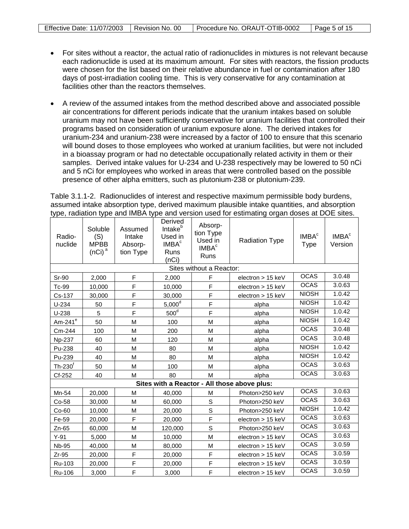- For sites without a reactor, the actual ratio of radionuclides in mixtures is not relevant because each radionuclide is used at its maximum amount. For sites with reactors, the fission products were chosen for the list based on their relative abundance in fuel or contamination after 180 days of post-irradiation cooling time. This is very conservative for any contamination at facilities other than the reactors themselves.
- A review of the assumed intakes from the method described above and associated possible air concentrations for different periods indicate that the uranium intakes based on soluble uranium may not have been sufficiently conservative for uranium facilities that controlled their programs based on consideration of uranium exposure alone. The derived intakes for uranium-234 and uranium-238 were increased by a factor of 100 to ensure that this scenario will bound doses to those employees who worked at uranium facilities, but were not included in a bioassay program or had no detectable occupationally related activity in them or their samples. Derived intake values for U-234 and U-238 respectively may be lowered to 50 nCi and 5 nCi for employees who worked in areas that were controlled based on the possible presence of other alpha emitters, such as plutonium-238 or plutonium-239.

Table 3.1.1-2. Radionuclides of interest and respective maximum permissible body burdens, assumed intake absorption type, derived maximum plausible intake quantities, and absorption type, radiation type and IMBA type and version used for estimating organ doses at DOE sites.

| Radio-<br>nuclide | Soluble<br>(S)<br><b>MPBB</b><br>(nCi) <sup>a</sup> | Assumed<br>Intake<br>Absorp-<br>tion Type | Derived<br>Intake <sup>b</sup><br>Used in<br>IMBA <sup>c</sup><br>Runs<br>(nCi) | Absorp-<br>tion Type<br>Used in<br>IMBA <sup>c</sup><br>Runs | <b>Radiation Type</b>                        | IMBA <sup>c</sup><br><b>Type</b> | IMBA <sup>c</sup><br>Version |
|-------------------|-----------------------------------------------------|-------------------------------------------|---------------------------------------------------------------------------------|--------------------------------------------------------------|----------------------------------------------|----------------------------------|------------------------------|
|                   |                                                     |                                           |                                                                                 | Sites without a Reactor:                                     |                                              |                                  |                              |
| Sr-90             | 2,000                                               | F                                         | 2,000                                                                           | F                                                            | electron > 15 keV                            | <b>OCAS</b>                      | 3.0.48                       |
| Tc-99             | 10,000                                              | F                                         | 10,000                                                                          | F                                                            | electron $> 15$ keV                          | <b>OCAS</b>                      | 3.0.63                       |
| Cs-137            | 30,000                                              | F                                         | 30,000                                                                          | F                                                            | electron $> 15$ keV                          | <b>NIOSH</b>                     | 1.0.42                       |
| $U-234$           | 50                                                  | F                                         | 5,000 <sup>d</sup>                                                              | F                                                            | alpha                                        | <b>NIOSH</b>                     | 1.0.42                       |
| $U-238$           | 5                                                   | F                                         | 500 <sup>d</sup>                                                                | F                                                            | alpha                                        | <b>NIOSH</b>                     | 1.0.42                       |
| Am-241 $^{\circ}$ | 50                                                  | M                                         | 100                                                                             | M                                                            | alpha                                        | <b>NIOSH</b>                     | 1.0.42                       |
| Cm-244            | 100                                                 | M                                         | 200                                                                             | M                                                            | alpha                                        | <b>OCAS</b>                      | 3.0.48                       |
| Np-237            | 60                                                  | M                                         | 120                                                                             | M                                                            | alpha                                        | <b>OCAS</b>                      | 3.0.48                       |
| Pu-238            | 40                                                  | M                                         | 80                                                                              | M                                                            | alpha                                        | <b>NIOSH</b>                     | 1.0.42                       |
| Pu-239            | 40                                                  | M                                         | 80                                                                              | M                                                            | alpha                                        | <b>NIOSH</b>                     | 1.0.42                       |
| $Th-230f$         | 50                                                  | M                                         | 100                                                                             | M                                                            | alpha                                        | <b>OCAS</b>                      | 3.0.63                       |
| Cf-252            | 40                                                  | M                                         | 80                                                                              | M                                                            | alpha                                        | <b>OCAS</b>                      | 3.0.63                       |
|                   |                                                     |                                           |                                                                                 |                                                              | Sites with a Reactor - All those above plus: |                                  |                              |
| Mn-54             | 20,000                                              | M                                         | 40.000                                                                          | M                                                            | Photon>250 keV                               | <b>OCAS</b>                      | 3.0.63                       |
| Co-58             | 30,000                                              | M                                         | 60,000                                                                          | S                                                            | Photon>250 keV                               | <b>OCAS</b>                      | 3.0.63                       |
| $Co-60$           | 10,000                                              | M                                         | 20,000                                                                          | S                                                            | Photon>250 keV                               | <b>NIOSH</b>                     | 1.0.42                       |
| Fe-59             | 20,000                                              | F                                         | 20,000                                                                          | F                                                            | electron $> 15$ keV                          | <b>OCAS</b>                      | 3.0.63                       |
| Zn-65             | 60,000                                              | M                                         | 120,000                                                                         | S                                                            | Photon>250 keV                               | <b>OCAS</b>                      | 3.0.63                       |
| $Y-91$            | 5,000                                               | M                                         | 10,000                                                                          | M                                                            | electron > 15 keV                            | <b>OCAS</b>                      | 3.0.63                       |
| <b>Nb-95</b>      | 40,000                                              | M                                         | 80,000                                                                          | M                                                            | electron > 15 keV                            | <b>OCAS</b>                      | 3.0.59                       |
| $Zr-95$           | 20,000                                              | F                                         | 20,000                                                                          | F                                                            | electron > 15 keV                            | <b>OCAS</b>                      | 3.0.59                       |
| Ru-103            | 20,000                                              | $\mathsf F$                               | 20,000                                                                          | F                                                            | electron > 15 keV                            | <b>OCAS</b>                      | 3.0.59                       |
| Ru-106            | 3.000                                               | F                                         | 3,000                                                                           | F                                                            | electron $> 15$ keV                          | <b>OCAS</b>                      | 3.0.59                       |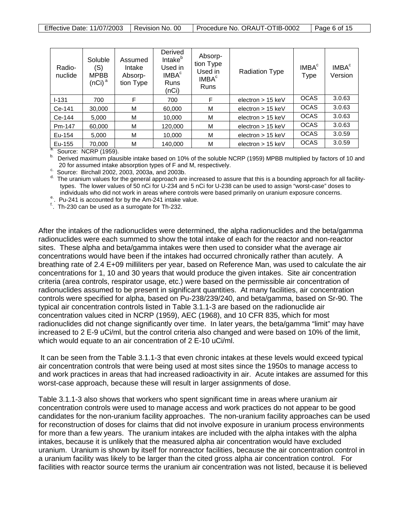| Radio-<br>nuclide | Soluble<br>(S)<br><b>MPBB</b><br>(nCi) <sup>a</sup> | Assumed<br>Intake<br>Absorp-<br>tion Type | Derived<br>Intake <sup>b</sup><br>Used in<br>IMBA <sup>c</sup><br><b>Runs</b><br>(nCi) | Absorp-<br>tion Type<br>Used in<br>IMBA <sup>c</sup><br><b>Runs</b> | <b>Radiation Type</b> | IMBA <sup>c</sup><br>Type | IMBA <sup>c</sup><br>Version |
|-------------------|-----------------------------------------------------|-------------------------------------------|----------------------------------------------------------------------------------------|---------------------------------------------------------------------|-----------------------|---------------------------|------------------------------|
| $I - 131$         | 700                                                 | F                                         | 700                                                                                    | F                                                                   | electron $> 15$ keV   | <b>OCAS</b>               | 3.0.63                       |
| Ce-141            | 30,000                                              | M                                         | 60,000                                                                                 | м                                                                   | electron $> 15$ keV   | <b>OCAS</b>               | 3.0.63                       |
| Ce-144            | 5,000                                               | M                                         | 10,000                                                                                 | М                                                                   | electron $> 15$ keV   | <b>OCAS</b>               | 3.0.63                       |
| Pm-147            | 60,000                                              | M                                         | 120,000                                                                                | М                                                                   | electron $> 15$ keV   | <b>OCAS</b>               | 3.0.63                       |
| Eu-154            | 5.000                                               | M                                         | 10.000                                                                                 | м                                                                   | electron $> 15$ keV   | <b>OCAS</b>               | 3.0.59                       |
| Eu-155            | 70,000                                              | M                                         | 140,000                                                                                | М                                                                   | electron $> 15$ keV   | <b>OCAS</b>               | 3.0.59                       |

Eu-155 Source: NCRP (1959).<br>  $\frac{a}{b}$ . Derived maximum plausible intake based on 10% of the soluble NCRP (1959) MPBB multiplied by factors of 10 and<br>
20 for assumed intake absorption types of F and M, respectively.

 $^{\circ}$  Source: Birchall 2002, 2003, 2003a, and 2003b.<br><sup>d.</sup> The uranium values for the general approach are increased to assure that this is a bounding approach for all facilitytypes. The lower values of 50 nCi for U-234 and 5 nCi for U-238 can be used to assign "worst-case" doses to<br>individuals who did not work in areas where controls were based primarily on uranium exposure concerns.

<sup>e.</sup> Pu-241 is accounted for by the Am-241 intake value.<br> $\frac{f}{L}$ . Th-230 can be used as a surrogate for Th-232.

After the intakes of the radionuclides were determined, the alpha radionuclides and the beta/gamma radionuclides were each summed to show the total intake of each for the reactor and non-reactor sites. These alpha and beta/gamma intakes were then used to consider what the average air concentrations would have been if the intakes had occurred chronically rather than acutely. A breathing rate of 2.4 E+09 milliliters per year, based on Reference Man, was used to calculate the air concentrations for 1, 10 and 30 years that would produce the given intakes. Site air concentration criteria (area controls, respirator usage, etc.) were based on the permissible air concentration of radionuclides assumed to be present in significant quantities. At many facilities, air concentration controls were specified for alpha, based on Pu-238/239/240, and beta/gamma, based on Sr-90. The typical air concentration controls listed in Table 3.1.1-3 are based on the radionuclide air concentration values cited in NCRP (1959), AEC (1968), and 10 CFR 835, which for most radionuclides did not change significantly over time. In later years, the beta/gamma "limit" may have increased to 2 E-9 uCi/ml, but the control criteria also changed and were based on 10% of the limit, which would equate to an air concentration of 2 E-10 uCi/ml.

It can be seen from the Table 3.1.1-3 that even chronic intakes at these levels would exceed typical air concentration controls that were being used at most sites since the 1950s to manage access to and work practices in areas that had increased radioactivity in air. Acute intakes are assumed for this worst-case approach, because these will result in larger assignments of dose.

Table 3.1.1-3 also shows that workers who spent significant time in areas where uranium air concentration controls were used to manage access and work practices do not appear to be good candidates for the non-uranium facility approaches. The non-uranium facility approaches can be used for reconstruction of doses for claims that did not involve exposure in uranium process environments for more than a few years. The uranium intakes are included with the alpha intakes with the alpha intakes, because it is unlikely that the measured alpha air concentration would have excluded uranium. Uranium is shown by itself for nonreactor facilities, because the air concentration control in a uranium facility was likely to be larger than the cited gross alpha air concentration control. For facilities with reactor source terms the uranium air concentration was not listed, because it is believed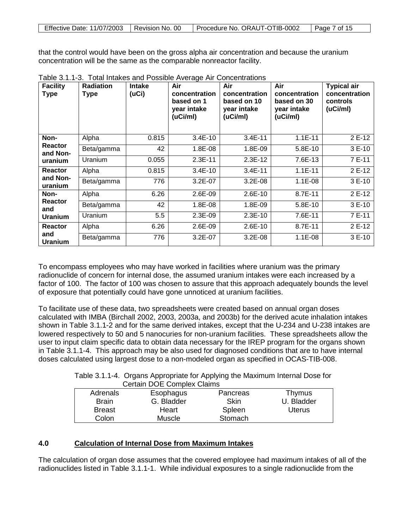| Effective Date: 11/07/2003  Revision No. 00 |  | Procedure No. ORAUT-OTIB-0002 | Page 7 of 15 |
|---------------------------------------------|--|-------------------------------|--------------|
|---------------------------------------------|--|-------------------------------|--------------|

that the control would have been on the gross alpha air concentration and because the uranium concentration will be the same as the comparable nonreactor facility.

| <b>Facility</b><br><b>Type</b> | <b>Radiation</b><br><b>Type</b> | <b>Intake</b><br>(uCi) | Air<br>concentration<br>based on 1<br>year intake<br>(uCi/ml) | Air<br>concentration<br>based on 10<br>year intake<br>(uCi/ml) | Air<br>concentration<br>based on 30<br>year intake<br>(uCi/ml) | <b>Typical air</b><br>concentration<br>controls<br>(uCi/ml) |
|--------------------------------|---------------------------------|------------------------|---------------------------------------------------------------|----------------------------------------------------------------|----------------------------------------------------------------|-------------------------------------------------------------|
| Non-                           | Alpha                           | 0.815                  | $3.4E-10$                                                     | $3.4E-11$                                                      | $1.1E-11$                                                      | 2 E-12                                                      |
| <b>Reactor</b><br>and Non-     | Beta/gamma                      | 42                     | 1.8E-08                                                       | 1.8E-09                                                        | 5.8E-10                                                        | 3 E-10                                                      |
| uranium                        | Uranium                         | 0.055                  | $2.3E-11$                                                     | $2.3E-12$                                                      | 7.6E-13                                                        | 7E-11                                                       |
| Reactor                        | Alpha                           | 0.815                  | $3.4E-10$                                                     | $3.4E-11$                                                      | $1.1E-11$                                                      | 2 E-12                                                      |
| and Non-<br>uranium            | Beta/gamma                      | 776                    | 3.2E-07                                                       | $3.2E-08$                                                      | $1.1E-08$                                                      | 3 E-10                                                      |
| Non-                           | Alpha                           | 6.26                   | 2.6E-09                                                       | $2.6E-10$                                                      | 8.7E-11                                                        | 2 E-12                                                      |
| Reactor<br>and                 | Beta/gamma                      | 42                     | 1.8E-08                                                       | 1.8E-09                                                        | 5.8E-10                                                        | 3 E-10                                                      |
| <b>Uranium</b>                 | Uranium                         | 5.5                    | 2.3E-09                                                       | $2.3E-10$                                                      | 7.6E-11                                                        | 7E-11                                                       |
| <b>Reactor</b>                 | Alpha                           | 6.26                   | 2.6E-09                                                       | $2.6E-10$                                                      | 8.7E-11                                                        | 2 E-12                                                      |
| and<br><b>Uranium</b>          | Beta/gamma                      | 776                    | 3.2E-07                                                       | $3.2E-08$                                                      | $1.1E-08$                                                      | $3E-10$                                                     |

Table 3.1.1-3. Total Intakes and Possible Average Air Concentrations

To encompass employees who may have worked in facilities where uranium was the primary radionuclide of concern for internal dose, the assumed uranium intakes were each increased by a factor of 100. The factor of 100 was chosen to assure that this approach adequately bounds the level of exposure that potentially could have gone unnoticed at uranium facilities.

To facilitate use of these data, two spreadsheets were created based on annual organ doses calculated with IMBA (Birchall 2002, 2003, 2003a, and 2003b) for the derived acute inhalation intakes shown in Table 3.1.1-2 and for the same derived intakes, except that the U-234 and U-238 intakes are lowered respectively to 50 and 5 nanocuries for non-uranium facilities. These spreadsheets allow the user to input claim specific data to obtain data necessary for the IREP program for the organs shown in Table 3.1.1-4. This approach may be also used for diagnosed conditions that are to have internal doses calculated using largest dose to a non-modeled organ as specified in OCAS-TIB-008.

Table 3.1.1-4. Organs Appropriate for Applying the Maximum Internal Dose for Certain DOE Complex Claims

| Adrenals      | Esophagus  | Pancreas | Thymus        |  |  |  |  |
|---------------|------------|----------|---------------|--|--|--|--|
| <b>Brain</b>  | G. Bladder | Skin     | U. Bladder    |  |  |  |  |
| <b>Breast</b> | Heart      | Spleen   | <b>Uterus</b> |  |  |  |  |
| Colon         | Muscle     | Stomach  |               |  |  |  |  |

## **4.0 Calculation of Internal Dose from Maximum Intakes**

The calculation of organ dose assumes that the covered employee had maximum intakes of all of the radionuclides listed in Table 3.1.1-1. While individual exposures to a single radionuclide from the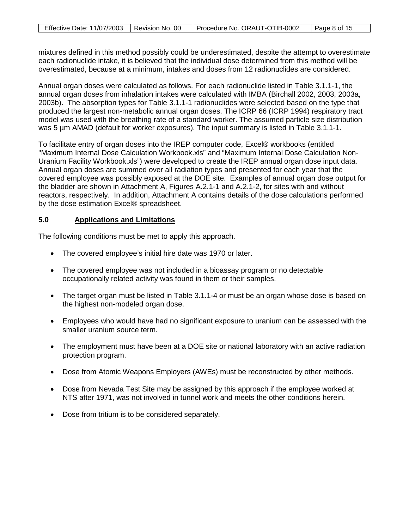| Effective Date: 11/07/2003   Revision No. 00 | Procedure No. ORAUT-OTIB-0002 | Page 8 of 15 |
|----------------------------------------------|-------------------------------|--------------|

mixtures defined in this method possibly could be underestimated, despite the attempt to overestimate each radionuclide intake, it is believed that the individual dose determined from this method will be overestimated, because at a minimum, intakes and doses from 12 radionuclides are considered.

Annual organ doses were calculated as follows. For each radionuclide listed in Table 3.1.1-1, the annual organ doses from inhalation intakes were calculated with IMBA (Birchall 2002, 2003, 2003a, 2003b). The absorption types for Table 3.1.1-1 radionuclides were selected based on the type that produced the largest non-metabolic annual organ doses. The ICRP 66 (ICRP 1994) respiratory tract model was used with the breathing rate of a standard worker. The assumed particle size distribution was 5 um AMAD (default for worker exposures). The input summary is listed in Table 3.1.1-1.

To facilitate entry of organ doses into the IREP computer code, Excel® workbooks (entitled "Maximum Internal Dose Calculation Workbook.xls" and "Maximum Internal Dose Calculation Non-Uranium Facility Workbook.xls") were developed to create the IREP annual organ dose input data. Annual organ doses are summed over all radiation types and presented for each year that the covered employee was possibly exposed at the DOE site. Examples of annual organ dose output for the bladder are shown in Attachment A, Figures A.2.1-1 and A.2.1-2, for sites with and without reactors, respectively. In addition, Attachment A contains details of the dose calculations performed by the dose estimation Excel® spreadsheet.

### **5.0 Applications and Limitations**

The following conditions must be met to apply this approach.

- The covered employee's initial hire date was 1970 or later.
- The covered employee was not included in a bioassay program or no detectable occupationally related activity was found in them or their samples.
- The target organ must be listed in Table 3.1.1-4 or must be an organ whose dose is based on the highest non-modeled organ dose.
- Employees who would have had no significant exposure to uranium can be assessed with the smaller uranium source term.
- The employment must have been at a DOE site or national laboratory with an active radiation protection program.
- Dose from Atomic Weapons Employers (AWEs) must be reconstructed by other methods.
- Dose from Nevada Test Site may be assigned by this approach if the employee worked at NTS after 1971, was not involved in tunnel work and meets the other conditions herein.
- Dose from tritium is to be considered separately.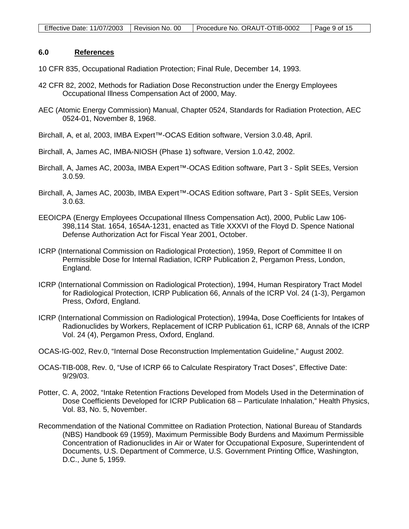#### **6.0 References**

- 10 CFR 835, Occupational Radiation Protection; Final Rule, December 14, 1993.
- 42 CFR 82, 2002, Methods for Radiation Dose Reconstruction under the Energy Employees Occupational Illness Compensation Act of 2000, May.
- AEC (Atomic Energy Commission) Manual, Chapter 0524, Standards for Radiation Protection, AEC 0524-01, November 8, 1968.
- Birchall, A, et al, 2003, IMBA Expert™-OCAS Edition software, Version 3.0.48, April.
- Birchall, A, James AC, IMBA-NIOSH (Phase 1) software, Version 1.0.42, 2002.
- Birchall, A, James AC, 2003a, IMBA Expert™-OCAS Edition software, Part 3 Split SEEs, Version 3.0.59.
- Birchall, A, James AC, 2003b, IMBA Expert™-OCAS Edition software, Part 3 Split SEEs, Version 3.0.63.
- EEOICPA (Energy Employees Occupational Illness Compensation Act), 2000, Public Law 106- 398,114 Stat. 1654, 1654A-1231, enacted as Title XXXVI of the Floyd D. Spence National Defense Authorization Act for Fiscal Year 2001, October.
- ICRP (International Commission on Radiological Protection), 1959, Report of Committee II on Permissible Dose for Internal Radiation, ICRP Publication 2, Pergamon Press, London, England.
- ICRP (International Commission on Radiological Protection), 1994, Human Respiratory Tract Model for Radiological Protection, ICRP Publication 66, Annals of the ICRP Vol. 24 (1-3), Pergamon Press, Oxford, England.
- ICRP (International Commission on Radiological Protection), 1994a, Dose Coefficients for Intakes of Radionuclides by Workers, Replacement of ICRP Publication 61, ICRP 68, Annals of the ICRP Vol. 24 (4), Pergamon Press, Oxford, England.
- OCAS-IG-002, Rev.0, "Internal Dose Reconstruction Implementation Guideline," August 2002.
- OCAS-TIB-008, Rev. 0, "Use of ICRP 66 to Calculate Respiratory Tract Doses", Effective Date: 9/29/03.
- Potter, C. A, 2002, "Intake Retention Fractions Developed from Models Used in the Determination of Dose Coefficients Developed for ICRP Publication 68 – Particulate Inhalation," Health Physics, Vol. 83, No. 5, November.
- Recommendation of the National Committee on Radiation Protection, National Bureau of Standards (NBS) Handbook 69 (1959), Maximum Permissible Body Burdens and Maximum Permissible Concentration of Radionuclides in Air or Water for Occupational Exposure, Superintendent of Documents, U.S. Department of Commerce, U.S. Government Printing Office, Washington, D.C., June 5, 1959.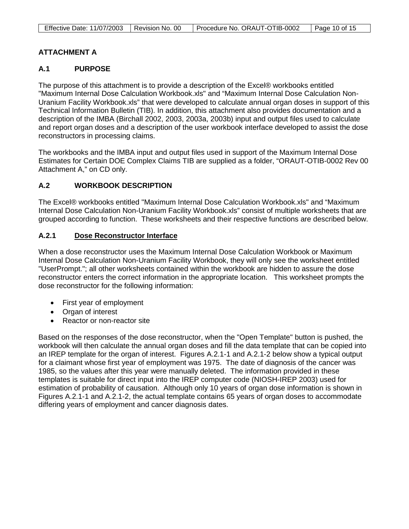| Effective Date: 11/07/2003   Revision No. 00 | Procedure No. ORAUT-OTIB-0002 | $\vert$ Page 10 of 15 |
|----------------------------------------------|-------------------------------|-----------------------|

# **ATTACHMENT A**

# **A.1 PURPOSE**

The purpose of this attachment is to provide a description of the Excel® workbooks entitled "Maximum Internal Dose Calculation Workbook.xls" and "Maximum Internal Dose Calculation Non-Uranium Facility Workbook.xls" that were developed to calculate annual organ doses in support of this Technical Information Bulletin (TIB). In addition, this attachment also provides documentation and a description of the IMBA (Birchall 2002, 2003, 2003a, 2003b) input and output files used to calculate and report organ doses and a description of the user workbook interface developed to assist the dose reconstructors in processing claims.

The workbooks and the IMBA input and output files used in support of the Maximum Internal Dose Estimates for Certain DOE Complex Claims TIB are supplied as a folder, "ORAUT-OTIB-0002 Rev 00 Attachment A," on CD only.

# **A.2 WORKBOOK DESCRIPTION**

The Excel® workbooks entitled "Maximum Internal Dose Calculation Workbook.xls" and "Maximum Internal Dose Calculation Non-Uranium Facility Workbook.xls" consist of multiple worksheets that are grouped according to function. These worksheets and their respective functions are described below.

## **A.2.1 Dose Reconstructor Interface**

When a dose reconstructor uses the Maximum Internal Dose Calculation Workbook or Maximum Internal Dose Calculation Non-Uranium Facility Workbook, they will only see the worksheet entitled "UserPrompt."; all other worksheets contained within the workbook are hidden to assure the dose reconstructor enters the correct information in the appropriate location. This worksheet prompts the dose reconstructor for the following information:

- First year of employment
- Organ of interest
- Reactor or non-reactor site

Based on the responses of the dose reconstructor, when the "Open Template" button is pushed, the workbook will then calculate the annual organ doses and fill the data template that can be copied into an IREP template for the organ of interest. Figures A.2.1-1 and A.2.1-2 below show a typical output for a claimant whose first year of employment was 1975. The date of diagnosis of the cancer was 1985, so the values after this year were manually deleted. The information provided in these templates is suitable for direct input into the IREP computer code (NIOSH-IREP 2003) used for estimation of probability of causation. Although only 10 years of organ dose information is shown in Figures A.2.1-1 and A.2.1-2, the actual template contains 65 years of organ doses to accommodate differing years of employment and cancer diagnosis dates.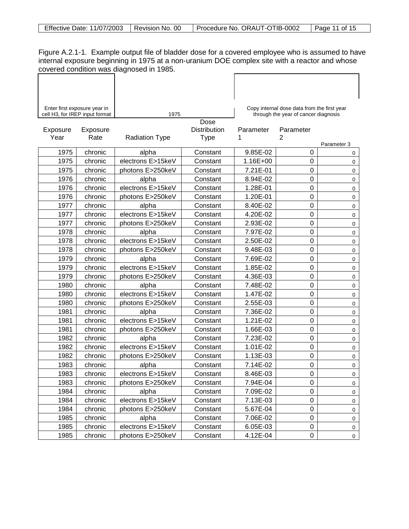| Effective Date: 11/07/2003<br>Revision No. 00 | Procedure No. ORAUT-OTIB-0002 | Page 11 of 15 |
|-----------------------------------------------|-------------------------------|---------------|
|-----------------------------------------------|-------------------------------|---------------|

Figure A.2.1-1. Example output file of bladder dose for a covered employee who is assumed to have internal exposure beginning in 1975 at a non-uranium DOE complex site with a reactor and whose covered condition was diagnosed in 1985.

| Enter first exposure year in |                                |                       |              | Copy internal dose data from the first year |                                      |             |
|------------------------------|--------------------------------|-----------------------|--------------|---------------------------------------------|--------------------------------------|-------------|
|                              | cell H3, for IREP input format | 1975                  | Dose         |                                             | through the year of cancer diagnosis |             |
| Exposure                     | Exposure                       |                       | Distribution | Parameter                                   | Parameter                            |             |
| Year                         | Rate                           | <b>Radiation Type</b> | <b>Type</b>  | 1                                           | 2                                    |             |
|                              |                                |                       |              |                                             |                                      | Parameter 3 |
| 1975                         | chronic                        | alpha                 | Constant     | 9.85E-02                                    | 0                                    | 0           |
| 1975                         | chronic                        | electrons E>15keV     | Constant     | 1.16E+00                                    | 0                                    | 0           |
| 1975                         | chronic                        | photons E>250keV      | Constant     | 7.21E-01                                    | 0                                    | 0           |
| 1976                         | chronic                        | alpha                 | Constant     | 8.94E-02                                    | 0                                    | 0           |
| 1976                         | chronic                        | electrons E>15keV     | Constant     | 1.28E-01                                    | 0                                    | 0           |
| 1976                         | chronic                        | photons E>250keV      | Constant     | 1.20E-01                                    | 0                                    | 0           |
| 1977                         | chronic                        | alpha                 | Constant     | 8.40E-02                                    | $\mathbf 0$                          | 0           |
| 1977                         | chronic                        | electrons E>15keV     | Constant     | 4.20E-02                                    | 0                                    | 0           |
| 1977                         | chronic                        | photons E>250keV      | Constant     | 2.93E-02                                    | 0                                    | 0           |
| 1978                         | chronic                        | alpha                 | Constant     | 7.97E-02                                    | 0                                    | 0           |
| 1978                         | chronic                        | electrons E>15keV     | Constant     | 2.50E-02                                    | $\mathbf 0$                          | 0           |
| 1978                         | chronic                        | photons E>250keV      | Constant     | 9.48E-03                                    | 0                                    | 0           |
| 1979                         | chronic                        | alpha                 | Constant     | 7.69E-02                                    | 0                                    | 0           |
| 1979                         | chronic                        | electrons E>15keV     | Constant     | 1.85E-02                                    | $\mathbf 0$                          | 0           |
| 1979                         | chronic                        | photons E>250keV      | Constant     | 4.36E-03                                    | $\mathbf 0$                          | 0           |
| 1980                         | chronic                        | alpha                 | Constant     | 7.48E-02                                    | $\mathbf 0$                          | 0           |
| 1980                         | chronic                        | electrons E>15keV     | Constant     | 1.47E-02                                    | 0                                    | 0           |
| 1980                         | chronic                        | photons E>250keV      | Constant     | 2.55E-03                                    | 0                                    | 0           |
| 1981                         | chronic                        | alpha                 | Constant     | 7.36E-02                                    | 0                                    | 0           |
| 1981                         | chronic                        | electrons E>15keV     | Constant     | 1.21E-02                                    | $\mathbf 0$                          | 0           |
| 1981                         | chronic                        | photons E>250keV      | Constant     | 1.66E-03                                    | $\mathbf 0$                          | 0           |
| 1982                         | chronic                        | alpha                 | Constant     | 7.23E-02                                    | 0                                    | 0           |
| 1982                         | chronic                        | electrons E>15keV     | Constant     | 1.01E-02                                    | 0                                    | 0           |
| 1982                         | chronic                        | photons E>250keV      | Constant     | 1.13E-03                                    | 0                                    | $\mathbf 0$ |
| 1983                         | chronic                        | alpha                 | Constant     | 7.14E-02                                    | 0                                    | 0           |
| 1983                         | chronic                        | electrons E>15keV     | Constant     | 8.46E-03                                    | $\overline{0}$                       | 0           |
| 1983                         | chronic                        | photons E>250keV      | Constant     | 7.94E-04                                    | 0                                    | 0           |
| 1984                         | chronic                        | alpha                 | Constant     | 7.09E-02                                    | 0                                    | $\mathsf 0$ |
| 1984                         | chronic                        | electrons E>15keV     | Constant     | 7.13E-03                                    | 0                                    | $\mathsf 0$ |
| 1984                         | chronic                        | photons E>250keV      | Constant     | 5.67E-04                                    | 0                                    | $\mathsf 0$ |
| 1985                         | chronic                        | alpha                 | Constant     | 7.06E-02                                    | 0                                    | 0           |
| 1985                         | chronic                        | electrons E>15keV     | Constant     | 6.05E-03                                    | 0                                    | 0           |
| 1985                         | chronic                        | photons E>250keV      | Constant     | 4.12E-04                                    | 0                                    | $\pmb{0}$   |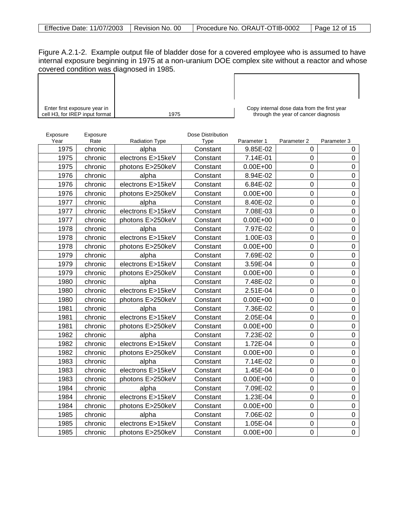Figure A.2.1-2. Example output file of bladder dose for a covered employee who is assumed to have internal exposure beginning in 1975 at a non-uranium DOE complex site without a reactor and whose covered condition was diagnosed in 1985.  $\Gamma$ 

| Enter first exposure year in<br>cell H3, for IREP input format |                  | 1975                  |                                  | Copy internal dose data from the first year<br>through the year of cancer diagnosis |             |                  |
|----------------------------------------------------------------|------------------|-----------------------|----------------------------------|-------------------------------------------------------------------------------------|-------------|------------------|
|                                                                |                  |                       |                                  |                                                                                     |             |                  |
| Exposure<br>Year                                               | Exposure<br>Rate | <b>Radiation Type</b> | Dose Distribution<br><b>Type</b> | Parameter 1                                                                         | Parameter 2 | Parameter 3      |
| 1975                                                           | chronic          | alpha                 | Constant                         | 9.85E-02                                                                            | 0           | 0                |
| 1975                                                           | chronic          | electrons E>15keV     | Constant                         | 7.14E-01                                                                            | 0           | 0                |
| 1975                                                           | chronic          | photons E>250keV      | Constant                         | $0.00E + 00$                                                                        | 0           | 0                |
| 1976                                                           | chronic          | alpha                 | Constant                         | 8.94E-02                                                                            | $\mathbf 0$ | 0                |
| 1976                                                           | chronic          | electrons E>15keV     | Constant                         | 6.84E-02                                                                            | $\mathbf 0$ | 0                |
| 1976                                                           | chronic          | photons E>250keV      | Constant                         | $0.00E + 00$                                                                        | 0           | $\mathbf 0$      |
| 1977                                                           | chronic          | alpha                 | Constant                         | 8.40E-02                                                                            | 0           | 0                |
| 1977                                                           | chronic          | electrons E>15keV     | Constant                         | 7.08E-03                                                                            | 0           | $\mathbf 0$      |
| 1977                                                           | chronic          | photons E>250keV      | Constant                         | $0.00E + 00$                                                                        | 0           | 0                |
| 1978                                                           | chronic          | alpha                 | Constant                         | 7.97E-02                                                                            | 0           | 0                |
| 1978                                                           | chronic          | electrons E>15keV     | Constant                         | 1.00E-03                                                                            | 0           | $\mathbf 0$      |
| 1978                                                           | chronic          | photons E>250keV      | Constant                         | $0.00E + 00$                                                                        | 0           | 0                |
| 1979                                                           | chronic          | alpha                 | Constant                         | 7.69E-02                                                                            | 0           | 0                |
| 1979                                                           | chronic          | electrons E>15keV     | Constant                         | 3.59E-04                                                                            | $\mathbf 0$ | 0                |
| 1979                                                           | chronic          | photons E>250keV      | Constant                         | $0.00E + 00$                                                                        | 0           | 0                |
| 1980                                                           | chronic          | alpha                 | Constant                         | 7.48E-02                                                                            | 0           | 0                |
| 1980                                                           | chronic          | electrons E>15keV     | Constant                         | 2.51E-04                                                                            | 0           | 0                |
| 1980                                                           | chronic          | photons E>250keV      | Constant                         | $0.00E + 00$                                                                        | 0           | 0                |
| 1981                                                           | chronic          | alpha                 | Constant                         | 7.36E-02                                                                            | $\mathbf 0$ | 0                |
| 1981                                                           | chronic          | electrons E>15keV     | Constant                         | 2.05E-04                                                                            | 0           | $\boldsymbol{0}$ |
| 1981                                                           | chronic          | photons E>250keV      | Constant                         | $0.00E + 00$                                                                        | $\mathbf 0$ | $\overline{0}$   |
| 1982                                                           | chronic          | alpha                 | Constant                         | 7.23E-02                                                                            | 0           | 0                |
| 1982                                                           | chronic          | electrons E>15keV     | Constant                         | 1.72E-04                                                                            | $\mathbf 0$ | 0                |
| 1982                                                           | chronic          | photons E>250keV      | Constant                         | $0.00E + 00$                                                                        | $\mathbf 0$ | 0                |
| 1983                                                           | chronic          | alpha                 | Constant                         | 7.14E-02                                                                            | 0           | 0                |
| 1983                                                           | chronic          | electrons E>15keV     | Constant                         | 1.45E-04                                                                            | 0           | $\mathbf 0$      |
| 1983                                                           | chronic          | photons E>250keV      | Constant                         | $0.00E + 00$                                                                        | 0           | 0                |
| 1984                                                           | chronic          | alpha                 | Constant                         | 7.09E-02                                                                            | 0           | 0                |
| 1984                                                           | chronic          | electrons E>15keV     | Constant                         | 1.23E-04                                                                            | 0           | 0                |
| 1984                                                           | chronic          | photons E>250keV      | Constant                         | $0.00E + 00$                                                                        | 0           | $\pmb{0}$        |
| 1985                                                           | chronic          | alpha                 | Constant                         | 7.06E-02                                                                            | 0           | 0                |
| 1985                                                           | chronic          | electrons E>15keV     | Constant                         | 1.05E-04                                                                            | 0           | 0                |
| 1985                                                           | chronic          | photons E>250keV      | Constant                         | $0.00E + 00$                                                                        | 0           | $\mathbf 0$      |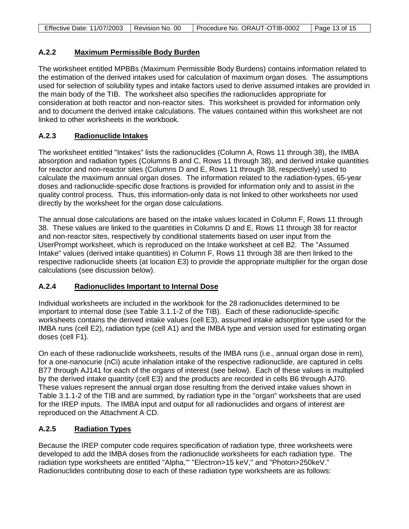| <b>Effective Date: 11/07/2003</b> | l Revision No. 00 | Procedure No. ORAUT-OTIB-0002 | Page 13 of 15 |
|-----------------------------------|-------------------|-------------------------------|---------------|

## **A.2.2 Maximum Permissible Body Burden**

The worksheet entitled MPBBs (Maximum Permissible Body Burdens) contains information related to the estimation of the derived intakes used for calculation of maximum organ doses. The assumptions used for selection of solubility types and intake factors used to derive assumed intakes are provided in the main body of the TIB. The worksheet also specifies the radionuclides appropriate for consideration at both reactor and non-reactor sites. This worksheet is provided for information only and to document the derived intake calculations. The values contained within this worksheet are not linked to other worksheets in the workbook.

## **A.2.3 Radionuclide Intakes**

The worksheet entitled "Intakes" lists the radionuclides (Column A, Rows 11 through 38), the IMBA absorption and radiation types (Columns B and C, Rows 11 through 38), and derived intake quantities for reactor and non-reactor sites (Columns D and E, Rows 11 through 38, respectively) used to calculate the maximum annual organ doses. The information related to the radiation-types, 65-year doses and radionuclide-specific dose fractions is provided for information only and to assist in the quality control process. Thus, this information-only data is not linked to other worksheets nor used directly by the worksheet for the organ dose calculations.

The annual dose calculations are based on the intake values located in Column F, Rows 11 through 38. These values are linked to the quantities in Columns D and E, Rows 11 through 38 for reactor and non-reactor sites, respectively by conditional statements based on user input from the UserPrompt worksheet, which is reproduced on the Intake worksheet at cell B2. The "Assumed Intake" values (derived intake quantities) in Column F, Rows 11 through 38 are then linked to the respective radionuclide sheets (at location E3) to provide the appropriate multiplier for the organ dose calculations (see discussion below).

## **A.2.4 Radionuclides Important to Internal Dose**

Individual worksheets are included in the workbook for the 28 radionuclides determined to be important to internal dose (see Table 3.1.1-2 of the TIB). Each of these radionuclide-specific worksheets contains the derived intake values (cell E3), assumed intake adsorption type used for the IMBA runs (cell E2), radiation type (cell A1) and the IMBA type and version used for estimating organ doses (cell F1).

On each of these radionuclide worksheets, results of the IMBA runs (i.e., annual organ dose in rem), for a one-nanocurie (nCi) acute inhalation intake of the respective radionuclide, are captured in cells B77 through AJ141 for each of the organs of interest (see below). Each of these values is multiplied by the derived intake quantity (cell E3) and the products are recorded in cells B6 through AJ70. These values represent the annual organ dose resulting from the derived intake values shown in Table 3.1.1-2 of the TIB and are summed, by radiation type in the "organ" worksheets that are used for the IREP inputs. The IMBA input and output for all radionuclides and organs of interest are reproduced on the Attachment A CD.

## **A.2.5 Radiation Types**

Because the IREP computer code requires specification of radiation type, three worksheets were developed to add the IMBA doses from the radionuclide worksheets for each radiation type. The radiation type worksheets are entitled "Alpha,'" "Electron>15 keV," and "Photon>250keV." Radionuclides contributing dose to each of these radiation type worksheets are as follows: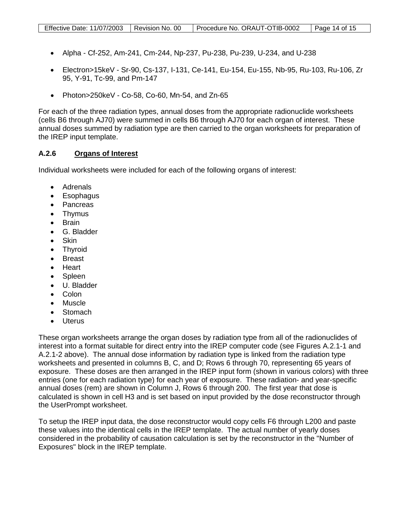- Alpha Cf-252, Am-241, Cm-244, Np-237, Pu-238, Pu-239, U-234, and U-238
- Electron>15keV Sr-90, Cs-137, I-131, Ce-141, Eu-154, Eu-155, Nb-95, Ru-103, Ru-106, Zr 95, Y-91, Tc-99, and Pm-147
- Photon>250keV Co-58, Co-60, Mn-54, and Zn-65

For each of the three radiation types, annual doses from the appropriate radionuclide worksheets (cells B6 through AJ70) were summed in cells B6 through AJ70 for each organ of interest. These annual doses summed by radiation type are then carried to the organ worksheets for preparation of the IREP input template.

#### **A.2.6 Organs of Interest**

Individual worksheets were included for each of the following organs of interest:

- Adrenals
- Esophagus
- Pancreas
- Thymus
- Brain
- G. Bladder
- Skin
- Thyroid
- Breast
- Heart
- Spleen
- U. Bladder
- Colon
- Muscle
- **Stomach**
- Uterus

These organ worksheets arrange the organ doses by radiation type from all of the radionuclides of interest into a format suitable for direct entry into the IREP computer code (see Figures A.2.1-1 and A.2.1-2 above). The annual dose information by radiation type is linked from the radiation type worksheets and presented in columns B, C, and D; Rows 6 through 70, representing 65 years of exposure. These doses are then arranged in the IREP input form (shown in various colors) with three entries (one for each radiation type) for each year of exposure. These radiation- and year-specific annual doses (rem) are shown in Column J, Rows 6 through 200. The first year that dose is calculated is shown in cell H3 and is set based on input provided by the dose reconstructor through the UserPrompt worksheet.

To setup the IREP input data, the dose reconstructor would copy cells F6 through L200 and paste these values into the identical cells in the IREP template. The actual number of yearly doses considered in the probability of causation calculation is set by the reconstructor in the "Number of Exposures" block in the IREP template.